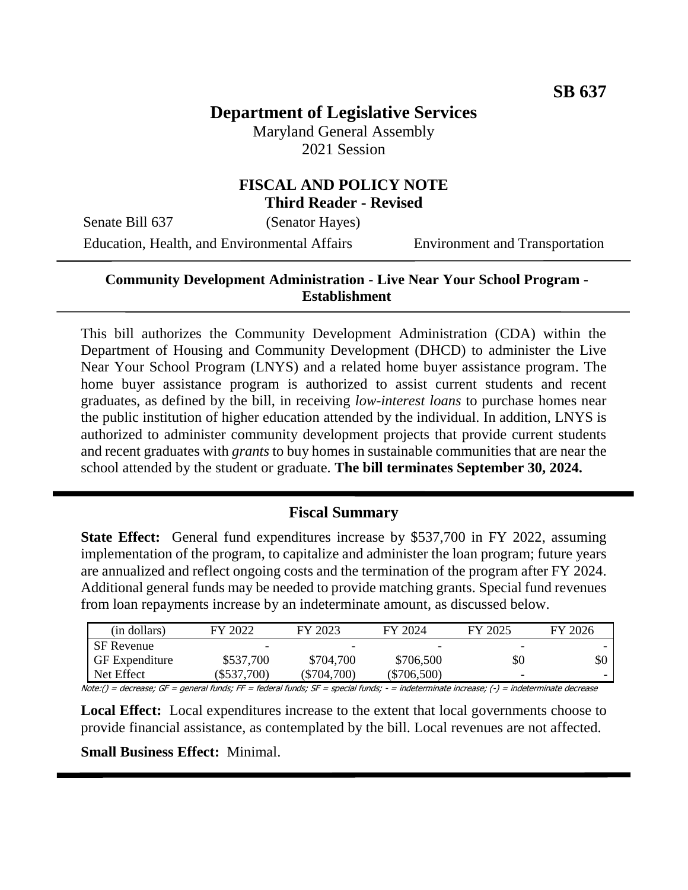# **Department of Legislative Services**

Maryland General Assembly 2021 Session

## **FISCAL AND POLICY NOTE Third Reader - Revised**

Senate Bill 637 (Senator Hayes)

Education, Health, and Environmental Affairs Environment and Transportation

## **Community Development Administration - Live Near Your School Program - Establishment**

This bill authorizes the Community Development Administration (CDA) within the Department of Housing and Community Development (DHCD) to administer the Live Near Your School Program (LNYS) and a related home buyer assistance program. The home buyer assistance program is authorized to assist current students and recent graduates, as defined by the bill, in receiving *low-interest loans* to purchase homes near the public institution of higher education attended by the individual. In addition, LNYS is authorized to administer community development projects that provide current students and recent graduates with *grants* to buy homes in sustainable communities that are near the school attended by the student or graduate. **The bill terminates September 30, 2024.**

## **Fiscal Summary**

**State Effect:** General fund expenditures increase by \$537,700 in FY 2022, assuming implementation of the program, to capitalize and administer the loan program; future years are annualized and reflect ongoing costs and the termination of the program after FY 2024. Additional general funds may be needed to provide matching grants. Special fund revenues from loan repayments increase by an indeterminate amount, as discussed below.

| (in dollars)          | FY 2022   | FY 2023       | FY 2024       | FY 2025 | FY 2026 |
|-----------------------|-----------|---------------|---------------|---------|---------|
| <b>SF</b> Revenue     |           |               | -             |         |         |
| <b>GF</b> Expenditure | \$537,700 | \$704,700     | \$706,500     | \$0     | \$0     |
| Net Effect            | \$537,700 | $(\$704,700)$ | $(\$706,500)$ | -       |         |

Note:() = decrease; GF = general funds; FF = federal funds; SF = special funds; - = indeterminate increase; (-) = indeterminate decrease

**Local Effect:** Local expenditures increase to the extent that local governments choose to provide financial assistance, as contemplated by the bill. Local revenues are not affected.

**Small Business Effect:** Minimal.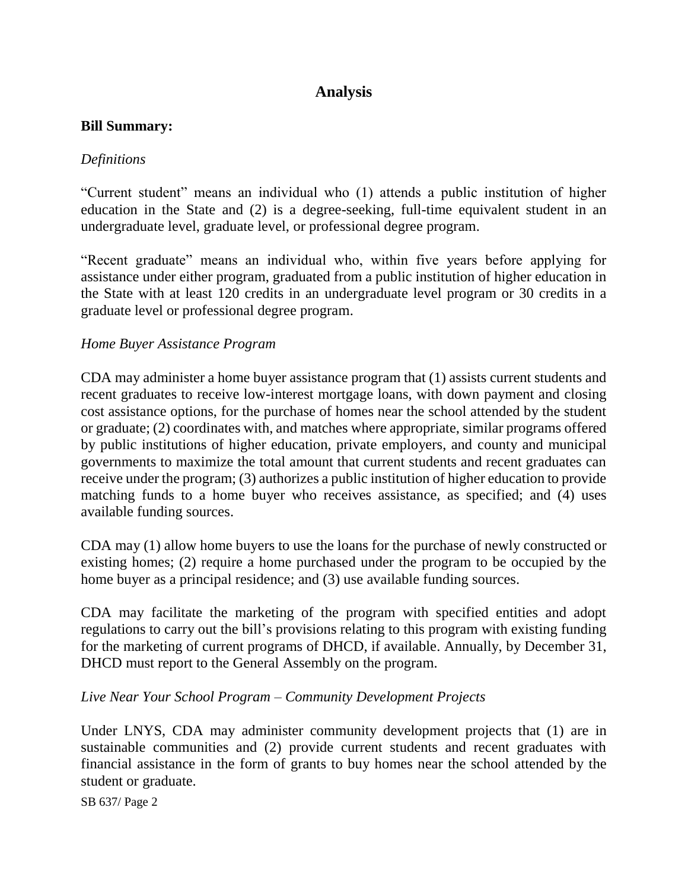# **Analysis**

### **Bill Summary:**

## *Definitions*

"Current student" means an individual who (1) attends a public institution of higher education in the State and (2) is a degree-seeking, full-time equivalent student in an undergraduate level, graduate level, or professional degree program.

"Recent graduate" means an individual who, within five years before applying for assistance under either program, graduated from a public institution of higher education in the State with at least 120 credits in an undergraduate level program or 30 credits in a graduate level or professional degree program.

## *Home Buyer Assistance Program*

CDA may administer a home buyer assistance program that (1) assists current students and recent graduates to receive low-interest mortgage loans, with down payment and closing cost assistance options, for the purchase of homes near the school attended by the student or graduate; (2) coordinates with, and matches where appropriate, similar programs offered by public institutions of higher education, private employers, and county and municipal governments to maximize the total amount that current students and recent graduates can receive under the program; (3) authorizes a public institution of higher education to provide matching funds to a home buyer who receives assistance, as specified; and (4) uses available funding sources.

CDA may (1) allow home buyers to use the loans for the purchase of newly constructed or existing homes; (2) require a home purchased under the program to be occupied by the home buyer as a principal residence; and (3) use available funding sources.

CDA may facilitate the marketing of the program with specified entities and adopt regulations to carry out the bill's provisions relating to this program with existing funding for the marketing of current programs of DHCD, if available. Annually, by December 31, DHCD must report to the General Assembly on the program.

#### *Live Near Your School Program – Community Development Projects*

Under LNYS, CDA may administer community development projects that (1) are in sustainable communities and (2) provide current students and recent graduates with financial assistance in the form of grants to buy homes near the school attended by the student or graduate.

SB 637/ Page 2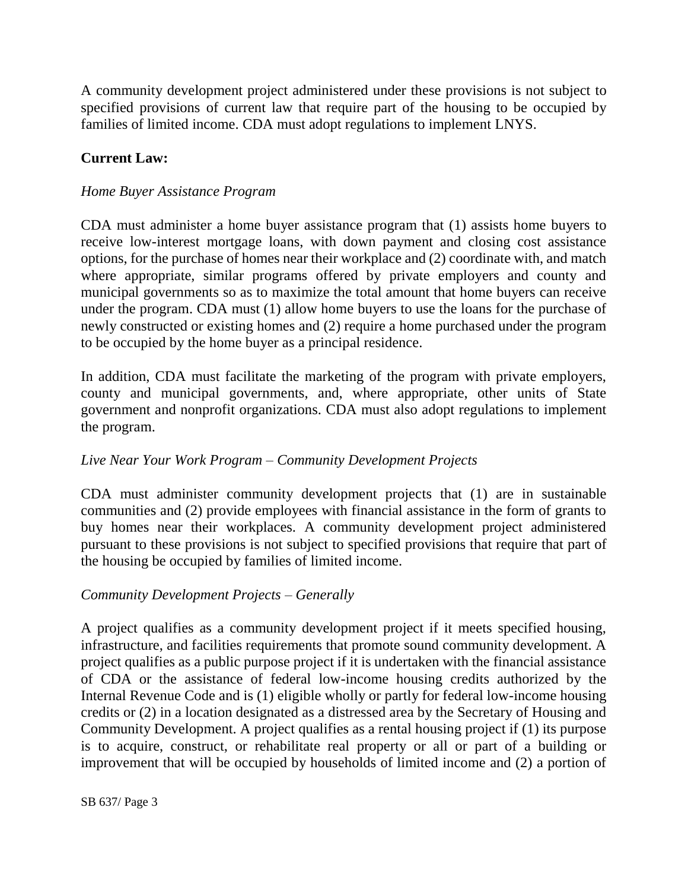A community development project administered under these provisions is not subject to specified provisions of current law that require part of the housing to be occupied by families of limited income. CDA must adopt regulations to implement LNYS.

## **Current Law:**

## *Home Buyer Assistance Program*

CDA must administer a home buyer assistance program that (1) assists home buyers to receive low-interest mortgage loans, with down payment and closing cost assistance options, for the purchase of homes near their workplace and (2) coordinate with, and match where appropriate, similar programs offered by private employers and county and municipal governments so as to maximize the total amount that home buyers can receive under the program. CDA must (1) allow home buyers to use the loans for the purchase of newly constructed or existing homes and (2) require a home purchased under the program to be occupied by the home buyer as a principal residence.

In addition, CDA must facilitate the marketing of the program with private employers, county and municipal governments, and, where appropriate, other units of State government and nonprofit organizations. CDA must also adopt regulations to implement the program.

## *Live Near Your Work Program – Community Development Projects*

CDA must administer community development projects that (1) are in sustainable communities and (2) provide employees with financial assistance in the form of grants to buy homes near their workplaces. A community development project administered pursuant to these provisions is not subject to specified provisions that require that part of the housing be occupied by families of limited income.

#### *Community Development Projects – Generally*

A project qualifies as a community development project if it meets specified housing, infrastructure, and facilities requirements that promote sound community development. A project qualifies as a public purpose project if it is undertaken with the financial assistance of CDA or the assistance of federal low-income housing credits authorized by the Internal Revenue Code and is (1) eligible wholly or partly for federal low-income housing credits or (2) in a location designated as a distressed area by the Secretary of Housing and Community Development. A project qualifies as a rental housing project if (1) its purpose is to acquire, construct, or rehabilitate real property or all or part of a building or improvement that will be occupied by households of limited income and (2) a portion of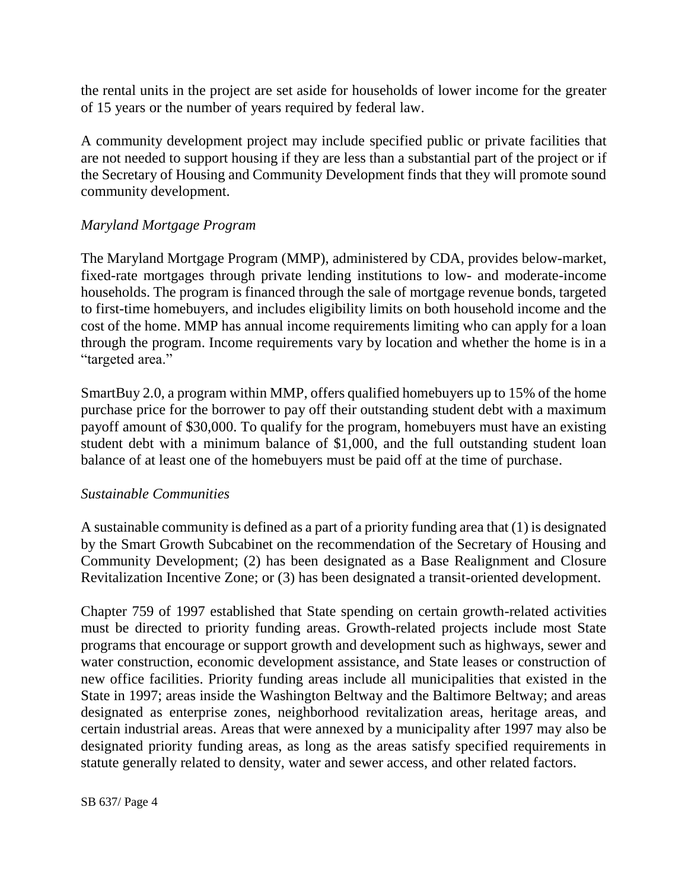the rental units in the project are set aside for households of lower income for the greater of 15 years or the number of years required by federal law.

A community development project may include specified public or private facilities that are not needed to support housing if they are less than a substantial part of the project or if the Secretary of Housing and Community Development finds that they will promote sound community development.

## *Maryland Mortgage Program*

The Maryland Mortgage Program (MMP), administered by CDA, provides below-market, fixed-rate mortgages through private lending institutions to low- and moderate-income households. The program is financed through the sale of mortgage revenue bonds, targeted to first-time homebuyers, and includes eligibility limits on both household income and the cost of the home. MMP has annual income requirements limiting who can apply for a loan through the program. Income requirements vary by location and whether the home is in a "targeted area."

SmartBuy 2.0, a program within MMP, offers qualified homebuyers up to 15% of the home purchase price for the borrower to pay off their outstanding student debt with a maximum payoff amount of \$30,000. To qualify for the program, homebuyers must have an existing student debt with a minimum balance of \$1,000, and the full outstanding student loan balance of at least one of the homebuyers must be paid off at the time of purchase.

## *Sustainable Communities*

A sustainable community is defined as a part of a priority funding area that (1) is designated by the Smart Growth Subcabinet on the recommendation of the Secretary of Housing and Community Development; (2) has been designated as a Base Realignment and Closure Revitalization Incentive Zone; or (3) has been designated a transit-oriented development.

Chapter 759 of 1997 established that State spending on certain growth-related activities must be directed to priority funding areas. Growth-related projects include most State programs that encourage or support growth and development such as highways, sewer and water construction, economic development assistance, and State leases or construction of new office facilities. Priority funding areas include all municipalities that existed in the State in 1997; areas inside the Washington Beltway and the Baltimore Beltway; and areas designated as enterprise zones, neighborhood revitalization areas, heritage areas, and certain industrial areas. Areas that were annexed by a municipality after 1997 may also be designated priority funding areas, as long as the areas satisfy specified requirements in statute generally related to density, water and sewer access, and other related factors.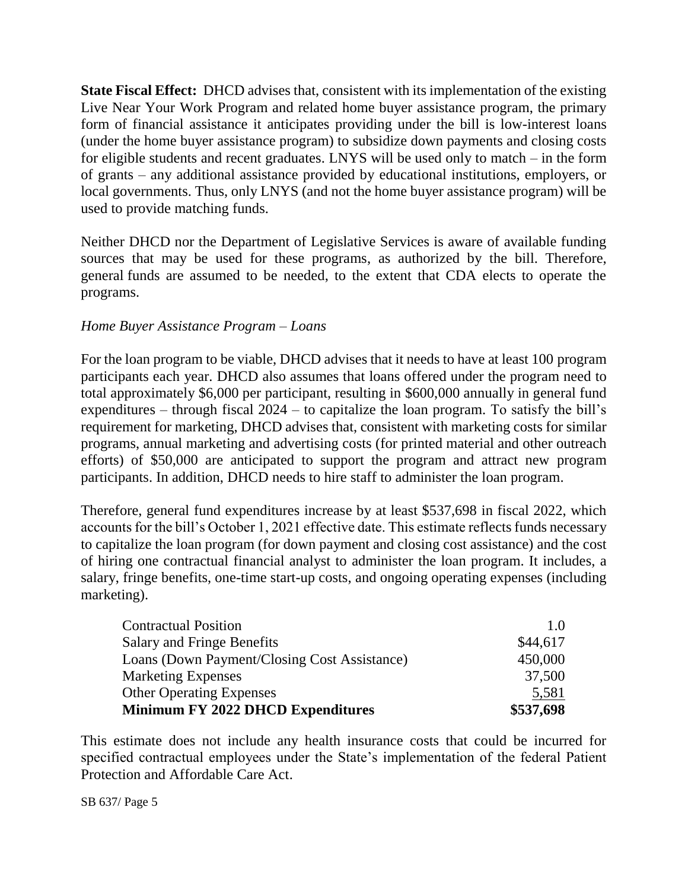**State Fiscal Effect:** DHCD advises that, consistent with its implementation of the existing Live Near Your Work Program and related home buyer assistance program, the primary form of financial assistance it anticipates providing under the bill is low-interest loans (under the home buyer assistance program) to subsidize down payments and closing costs for eligible students and recent graduates. LNYS will be used only to match – in the form of grants – any additional assistance provided by educational institutions, employers, or local governments. Thus, only LNYS (and not the home buyer assistance program) will be used to provide matching funds.

Neither DHCD nor the Department of Legislative Services is aware of available funding sources that may be used for these programs, as authorized by the bill. Therefore, general funds are assumed to be needed, to the extent that CDA elects to operate the programs.

## *Home Buyer Assistance Program – Loans*

For the loan program to be viable, DHCD advises that it needs to have at least 100 program participants each year. DHCD also assumes that loans offered under the program need to total approximately \$6,000 per participant, resulting in \$600,000 annually in general fund expenditures – through fiscal 2024 – to capitalize the loan program. To satisfy the bill's requirement for marketing, DHCD advises that, consistent with marketing costs for similar programs, annual marketing and advertising costs (for printed material and other outreach efforts) of \$50,000 are anticipated to support the program and attract new program participants. In addition, DHCD needs to hire staff to administer the loan program.

Therefore, general fund expenditures increase by at least \$537,698 in fiscal 2022, which accounts for the bill's October 1, 2021 effective date. This estimate reflects funds necessary to capitalize the loan program (for down payment and closing cost assistance) and the cost of hiring one contractual financial analyst to administer the loan program. It includes, a salary, fringe benefits, one-time start-up costs, and ongoing operating expenses (including marketing).

| <b>Contractual Position</b>                  | 1.0       |
|----------------------------------------------|-----------|
| <b>Salary and Fringe Benefits</b>            | \$44,617  |
| Loans (Down Payment/Closing Cost Assistance) | 450,000   |
| <b>Marketing Expenses</b>                    | 37,500    |
| <b>Other Operating Expenses</b>              | 5,581     |
| Minimum FY 2022 DHCD Expenditures            | \$537,698 |

This estimate does not include any health insurance costs that could be incurred for specified contractual employees under the State's implementation of the federal Patient Protection and Affordable Care Act.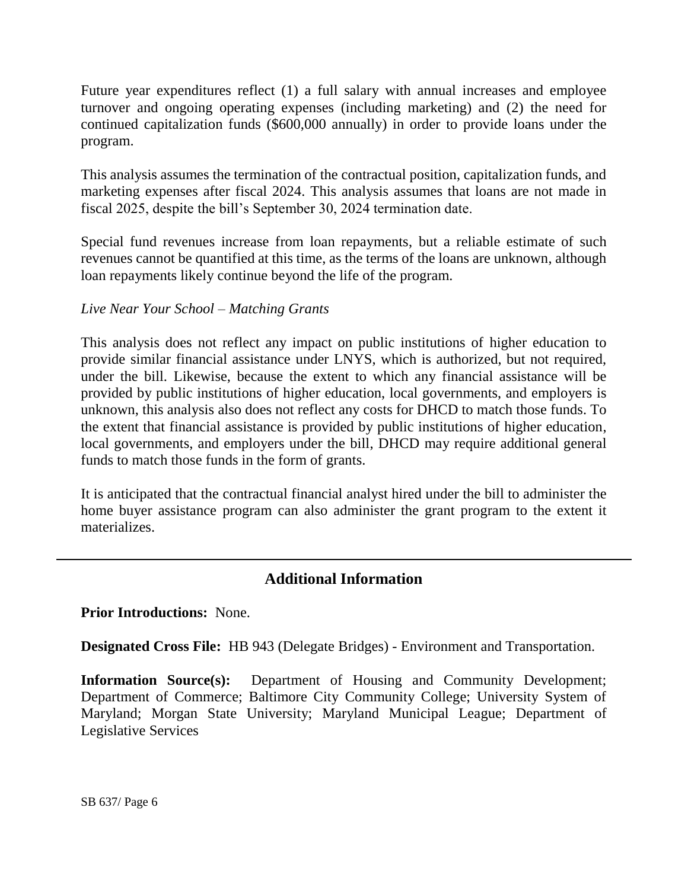Future year expenditures reflect (1) a full salary with annual increases and employee turnover and ongoing operating expenses (including marketing) and (2) the need for continued capitalization funds (\$600,000 annually) in order to provide loans under the program.

This analysis assumes the termination of the contractual position, capitalization funds, and marketing expenses after fiscal 2024. This analysis assumes that loans are not made in fiscal 2025, despite the bill's September 30, 2024 termination date.

Special fund revenues increase from loan repayments, but a reliable estimate of such revenues cannot be quantified at this time, as the terms of the loans are unknown, although loan repayments likely continue beyond the life of the program.

## *Live Near Your School – Matching Grants*

This analysis does not reflect any impact on public institutions of higher education to provide similar financial assistance under LNYS, which is authorized, but not required, under the bill. Likewise, because the extent to which any financial assistance will be provided by public institutions of higher education, local governments, and employers is unknown, this analysis also does not reflect any costs for DHCD to match those funds. To the extent that financial assistance is provided by public institutions of higher education, local governments, and employers under the bill, DHCD may require additional general funds to match those funds in the form of grants.

It is anticipated that the contractual financial analyst hired under the bill to administer the home buyer assistance program can also administer the grant program to the extent it materializes.

## **Additional Information**

**Prior Introductions:** None.

**Designated Cross File:** HB 943 (Delegate Bridges) - Environment and Transportation.

**Information Source(s):** Department of Housing and Community Development; Department of Commerce; Baltimore City Community College; University System of Maryland; Morgan State University; Maryland Municipal League; Department of Legislative Services